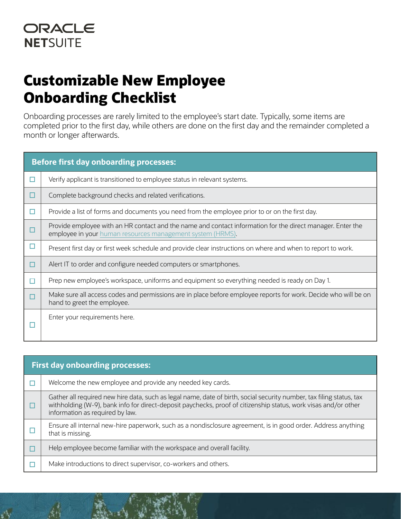## **Customizable New Employee Onboarding Checklist**

Onboarding processes are rarely limited to the employee's start date. Typically, some items are completed prior to the first day, while others are done on the first day and the remainder completed a month or longer afterwards.

| <b>Before first day onboarding processes:</b> |                                                                                                                                                                          |  |
|-----------------------------------------------|--------------------------------------------------------------------------------------------------------------------------------------------------------------------------|--|
| п                                             | Verify applicant is transitioned to employee status in relevant systems.                                                                                                 |  |
| ப                                             | Complete background checks and related verifications.                                                                                                                    |  |
| П                                             | Provide a list of forms and documents you need from the employee prior to or on the first day.                                                                           |  |
|                                               | Provide employee with an HR contact and the name and contact information for the direct manager. Enter the<br>employee in your human resources management system (HRMS). |  |
| □                                             | Present first day or first week schedule and provide clear instructions on where and when to report to work.                                                             |  |
| □                                             | Alert IT to order and configure needed computers or smartphones.                                                                                                         |  |
| П                                             | Prep new employee's workspace, uniforms and equipment so everything needed is ready on Day 1.                                                                            |  |
|                                               | Make sure all access codes and permissions are in place before employee reports for work. Decide who will be on<br>hand to greet the employee.                           |  |
|                                               | Enter your requirements here.                                                                                                                                            |  |

| <b>First day onboarding processes:</b> |                                                                                                                                                                                                                                                                            |  |
|----------------------------------------|----------------------------------------------------------------------------------------------------------------------------------------------------------------------------------------------------------------------------------------------------------------------------|--|
|                                        | Welcome the new employee and provide any needed key cards.                                                                                                                                                                                                                 |  |
|                                        | Gather all required new hire data, such as legal name, date of birth, social security number, tax filing status, tax<br>withholding (W-9), bank info for direct-deposit paychecks, proof of citizenship status, work visas and/or other<br>information as required by law. |  |
|                                        | Ensure all internal new-hire paperwork, such as a nondisclosure agreement, is in good order. Address anything<br>that is missing.                                                                                                                                          |  |
|                                        | Help employee become familiar with the workspace and overall facility.                                                                                                                                                                                                     |  |
|                                        | Make introductions to direct supervisor, co-workers and others.                                                                                                                                                                                                            |  |